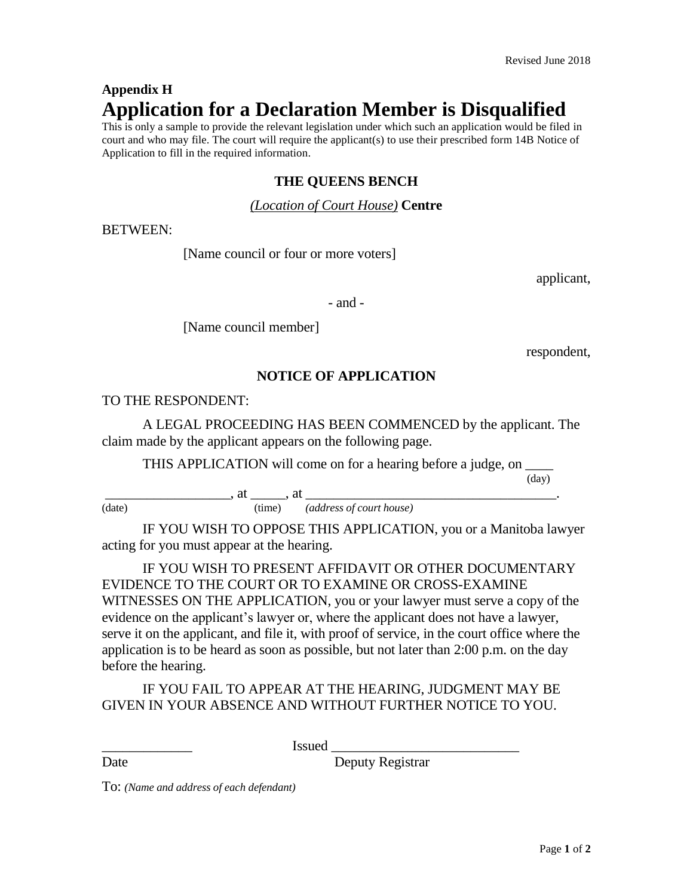# **Appendix H Application for a Declaration Member is Disqualified**

This is only a sample to provide the relevant legislation under which such an application would be filed in court and who may file. The court will require the applicant(s) to use their prescribed form 14B Notice of Application to fill in the required information.

#### **THE QUEENS BENCH**

#### *(Location of Court House)* **Centre**

BETWEEN:

[Name council or four or more voters]

applicant,

- and -

[Name council member]

respondent,

### **NOTICE OF APPLICATION**

TO THE RESPONDENT:

A LEGAL PROCEEDING HAS BEEN COMMENCED by the applicant. The claim made by the applicant appears on the following page.

THIS APPLICATION will come on for a hearing before a judge, on \_\_\_\_

(day)

 $\qquad \qquad \text{at } \qquad \qquad \text{at } \qquad \qquad \text{at } \qquad \qquad \text{at }$ (date) (time) *(address of court house)*

IF YOU WISH TO OPPOSE THIS APPLICATION, you or a Manitoba lawyer acting for you must appear at the hearing.

IF YOU WISH TO PRESENT AFFIDAVIT OR OTHER DOCUMENTARY EVIDENCE TO THE COURT OR TO EXAMINE OR CROSS-EXAMINE WITNESSES ON THE APPLICATION, you or your lawyer must serve a copy of the evidence on the applicant's lawyer or, where the applicant does not have a lawyer, serve it on the applicant, and file it, with proof of service, in the court office where the application is to be heard as soon as possible, but not later than 2:00 p.m. on the day before the hearing.

IF YOU FAIL TO APPEAR AT THE HEARING, JUDGMENT MAY BE GIVEN IN YOUR ABSENCE AND WITHOUT FURTHER NOTICE TO YOU.

\_\_\_\_\_\_\_\_\_\_\_\_\_ Issued \_\_\_\_\_\_\_\_\_\_\_\_\_\_\_\_\_\_\_\_\_\_\_\_\_\_\_

Date Deputy Registrar

To: *(Name and address of each defendant)*